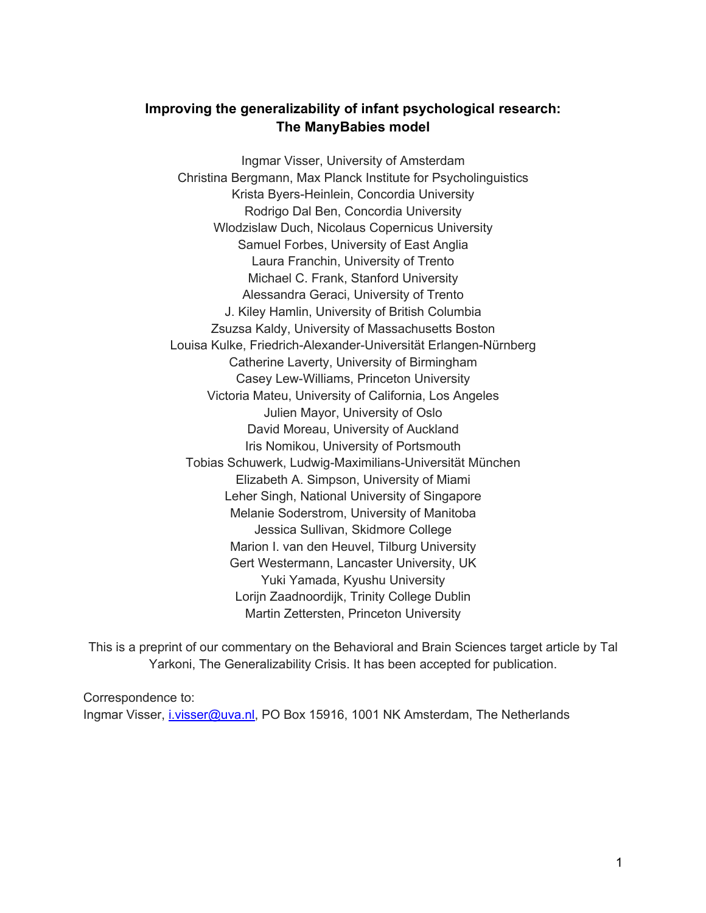## **Improving the generalizability of infant psychological research: The ManyBabies model**

Ingmar Visser, University of Amsterdam Christina Bergmann, Max Planck Institute for Psycholinguistics Krista Byers-Heinlein, Concordia University Rodrigo Dal Ben, Concordia University Wlodzislaw Duch, Nicolaus Copernicus University Samuel Forbes, University of East Anglia Laura Franchin, University of Trento Michael C. Frank, Stanford University Alessandra Geraci, University of Trento J. Kiley Hamlin, University of British Columbia Zsuzsa Kaldy, University of Massachusetts Boston Louisa Kulke, Friedrich-Alexander-Universität Erlangen-Nürnberg Catherine Laverty, University of Birmingham Casey Lew-Williams, Princeton University Victoria Mateu, University of California, Los Angeles Julien Mayor, University of Oslo David Moreau, University of Auckland Iris Nomikou, University of Portsmouth Tobias Schuwerk, Ludwig-Maximilians-Universität München Elizabeth A. Simpson, University of Miami Leher Singh, National University of Singapore Melanie Soderstrom, University of Manitoba Jessica Sullivan, Skidmore College Marion I. van den Heuvel, Tilburg University Gert Westermann, Lancaster University, UK Yuki Yamada, Kyushu University Lorijn Zaadnoordijk, Trinity College Dublin Martin Zettersten, Princeton University

This is a preprint of our commentary on the Behavioral and Brain Sciences target article by Tal Yarkoni, The Generalizability Crisis. It has been accepted for publication.

Correspondence to: Ingmar Visser, i.visser@uva.nl, PO Box 15916, 1001 NK Amsterdam, The Netherlands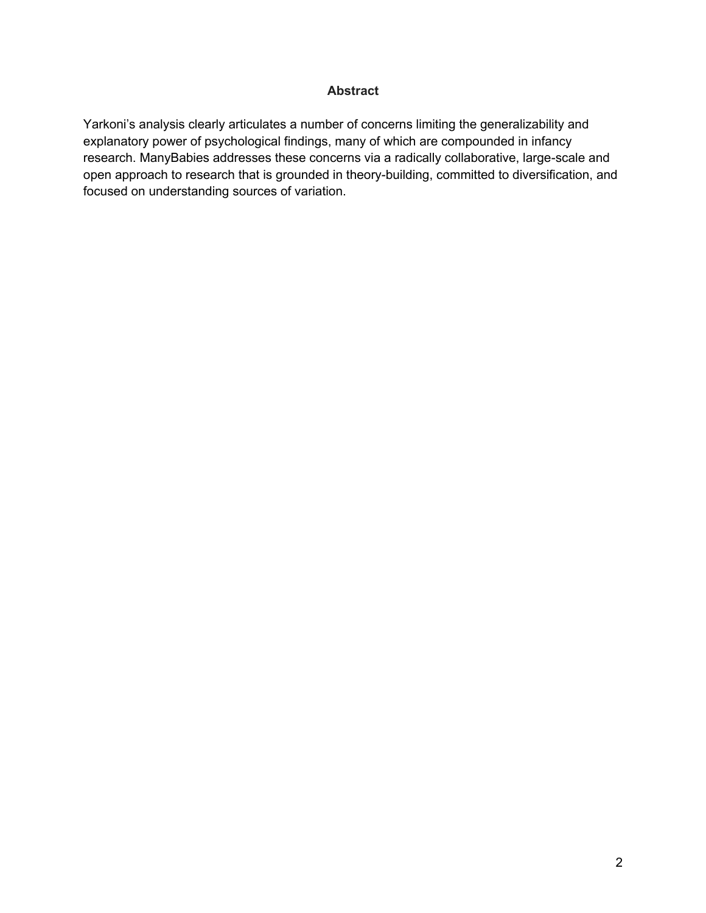## **Abstract**

Yarkoni's analysis clearly articulates a number of concerns limiting the generalizability and explanatory power of psychological findings, many of which are compounded in infancy research. ManyBabies addresses these concerns via a radically collaborative, large-scale and open approach to research that is grounded in theory-building, committed to diversification, and focused on understanding sources of variation.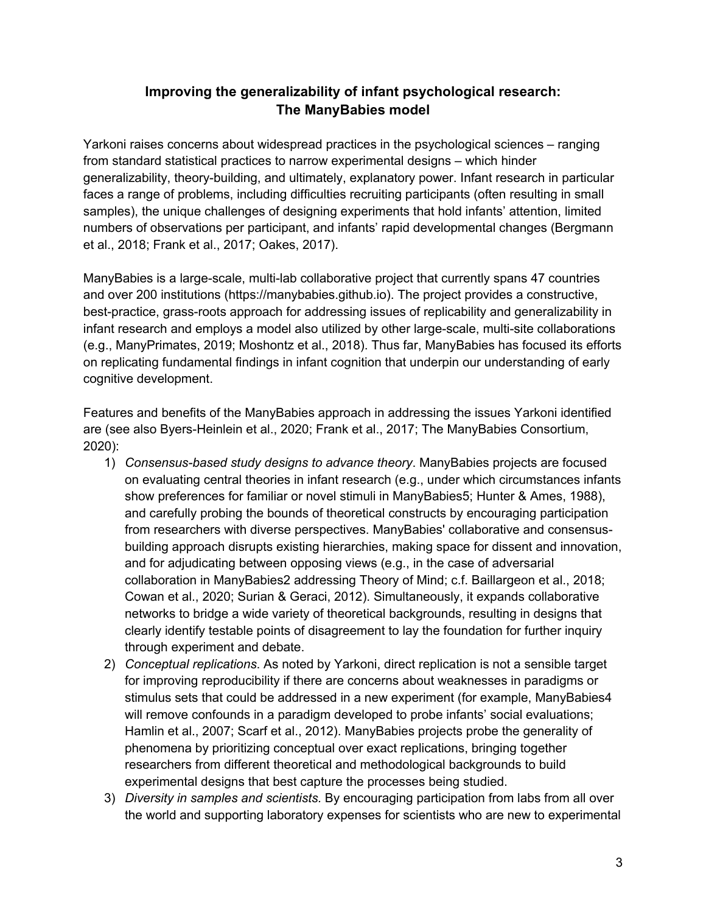## **Improving the generalizability of infant psychological research: The ManyBabies model**

Yarkoni raises concerns about widespread practices in the psychological sciences – ranging from standard statistical practices to narrow experimental designs – which hinder generalizability, theory-building, and ultimately, explanatory power. Infant research in particular faces a range of problems, including difficulties recruiting participants (often resulting in small samples), the unique challenges of designing experiments that hold infants' attention, limited numbers of observations per participant, and infants' rapid developmental changes (Bergmann et al., 2018; Frank et al., 2017; Oakes, 2017).

ManyBabies is a large-scale, multi-lab collaborative project that currently spans 47 countries and over 200 institutions (https://manybabies.github.io). The project provides a constructive, best-practice, grass-roots approach for addressing issues of replicability and generalizability in infant research and employs a model also utilized by other large-scale, multi-site collaborations (e.g., ManyPrimates, 2019; Moshontz et al., 2018). Thus far, ManyBabies has focused its efforts on replicating fundamental findings in infant cognition that underpin our understanding of early cognitive development.

Features and benefits of the ManyBabies approach in addressing the issues Yarkoni identified are (see also Byers-Heinlein et al., 2020; Frank et al., 2017; The ManyBabies Consortium, 2020):

- 1) *Consensus-based study designs to advance theory*. ManyBabies projects are focused on evaluating central theories in infant research (e.g., under which circumstances infants show preferences for familiar or novel stimuli in ManyBabies5; Hunter & Ames, 1988), and carefully probing the bounds of theoretical constructs by encouraging participation from researchers with diverse perspectives. ManyBabies' collaborative and consensusbuilding approach disrupts existing hierarchies, making space for dissent and innovation, and for adjudicating between opposing views (e.g., in the case of adversarial collaboration in ManyBabies2 addressing Theory of Mind; c.f. Baillargeon et al., 2018; Cowan et al., 2020; Surian & Geraci, 2012). Simultaneously, it expands collaborative networks to bridge a wide variety of theoretical backgrounds, resulting in designs that clearly identify testable points of disagreement to lay the foundation for further inquiry through experiment and debate.
- 2) *Conceptual replications*. As noted by Yarkoni, direct replication is not a sensible target for improving reproducibility if there are concerns about weaknesses in paradigms or stimulus sets that could be addressed in a new experiment (for example, ManyBabies4 will remove confounds in a paradigm developed to probe infants' social evaluations; Hamlin et al., 2007; Scarf et al., 2012). ManyBabies projects probe the generality of phenomena by prioritizing conceptual over exact replications, bringing together researchers from different theoretical and methodological backgrounds to build experimental designs that best capture the processes being studied.
- 3) *Diversity in samples and scientists.* By encouraging participation from labs from all over the world and supporting laboratory expenses for scientists who are new to experimental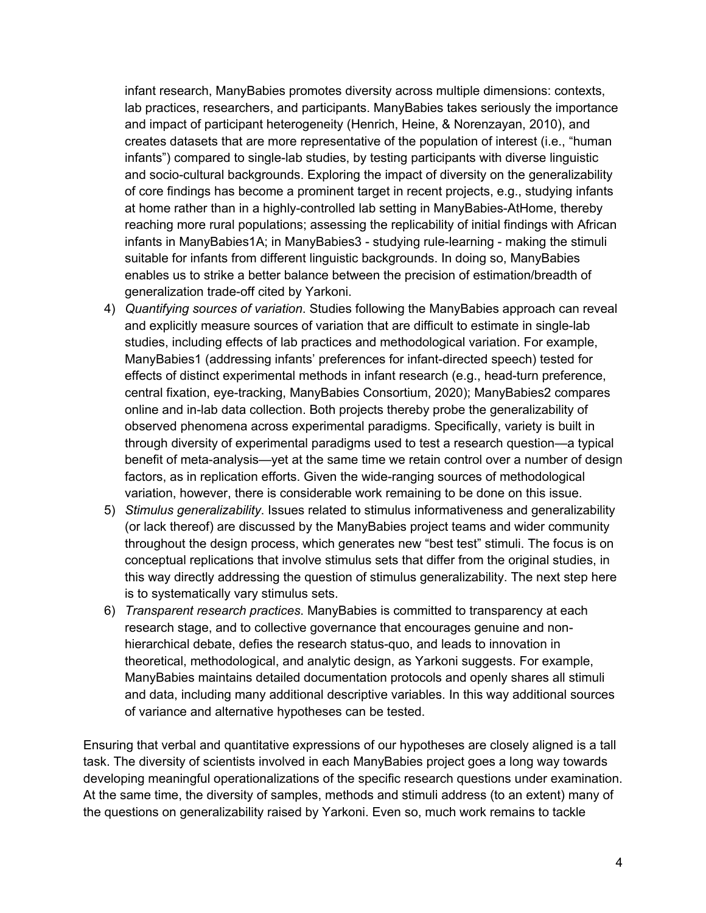infant research, ManyBabies promotes diversity across multiple dimensions: contexts, lab practices, researchers, and participants. ManyBabies takes seriously the importance and impact of participant heterogeneity (Henrich, Heine, & Norenzayan, 2010), and creates datasets that are more representative of the population of interest (i.e., "human infants") compared to single-lab studies, by testing participants with diverse linguistic and socio-cultural backgrounds. Exploring the impact of diversity on the generalizability of core findings has become a prominent target in recent projects, e.g., studying infants at home rather than in a highly-controlled lab setting in ManyBabies-AtHome, thereby reaching more rural populations; assessing the replicability of initial findings with African infants in ManyBabies1A; in ManyBabies3 - studying rule-learning - making the stimuli suitable for infants from different linguistic backgrounds. In doing so, ManyBabies enables us to strike a better balance between the precision of estimation/breadth of generalization trade-off cited by Yarkoni.

- 4) *Quantifying sources of variation*. Studies following the ManyBabies approach can reveal and explicitly measure sources of variation that are difficult to estimate in single-lab studies, including effects of lab practices and methodological variation. For example, ManyBabies1 (addressing infants' preferences for infant-directed speech) tested for effects of distinct experimental methods in infant research (e.g., head-turn preference, central fixation, eye-tracking, ManyBabies Consortium, 2020); ManyBabies2 compares online and in-lab data collection. Both projects thereby probe the generalizability of observed phenomena across experimental paradigms. Specifically, variety is built in through diversity of experimental paradigms used to test a research question—a typical benefit of meta-analysis—yet at the same time we retain control over a number of design factors, as in replication efforts. Given the wide-ranging sources of methodological variation, however, there is considerable work remaining to be done on this issue.
- 5) *Stimulus generalizability*. Issues related to stimulus informativeness and generalizability (or lack thereof) are discussed by the ManyBabies project teams and wider community throughout the design process, which generates new "best test" stimuli. The focus is on conceptual replications that involve stimulus sets that differ from the original studies, in this way directly addressing the question of stimulus generalizability. The next step here is to systematically vary stimulus sets.
- 6) *Transparent research practices*. ManyBabies is committed to transparency at each research stage, and to collective governance that encourages genuine and nonhierarchical debate, defies the research status-quo, and leads to innovation in theoretical, methodological, and analytic design, as Yarkoni suggests. For example, ManyBabies maintains detailed documentation protocols and openly shares all stimuli and data, including many additional descriptive variables. In this way additional sources of variance and alternative hypotheses can be tested.

Ensuring that verbal and quantitative expressions of our hypotheses are closely aligned is a tall task. The diversity of scientists involved in each ManyBabies project goes a long way towards developing meaningful operationalizations of the specific research questions under examination. At the same time, the diversity of samples, methods and stimuli address (to an extent) many of the questions on generalizability raised by Yarkoni. Even so, much work remains to tackle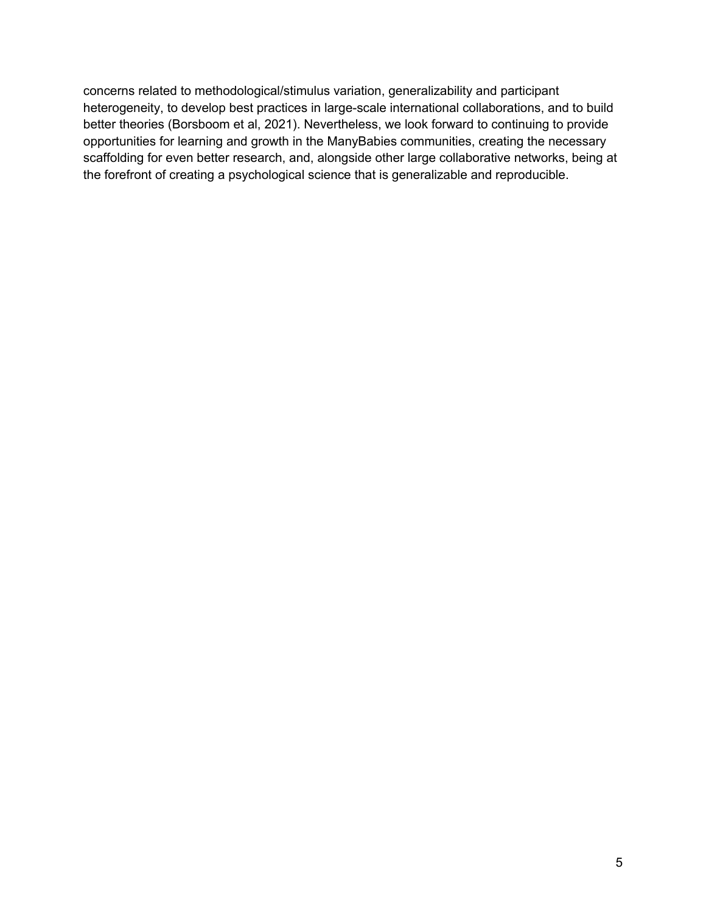concerns related to methodological/stimulus variation, generalizability and participant heterogeneity, to develop best practices in large-scale international collaborations, and to build better theories (Borsboom et al, 2021). Nevertheless, we look forward to continuing to provide opportunities for learning and growth in the ManyBabies communities, creating the necessary scaffolding for even better research, and, alongside other large collaborative networks, being at the forefront of creating a psychological science that is generalizable and reproducible.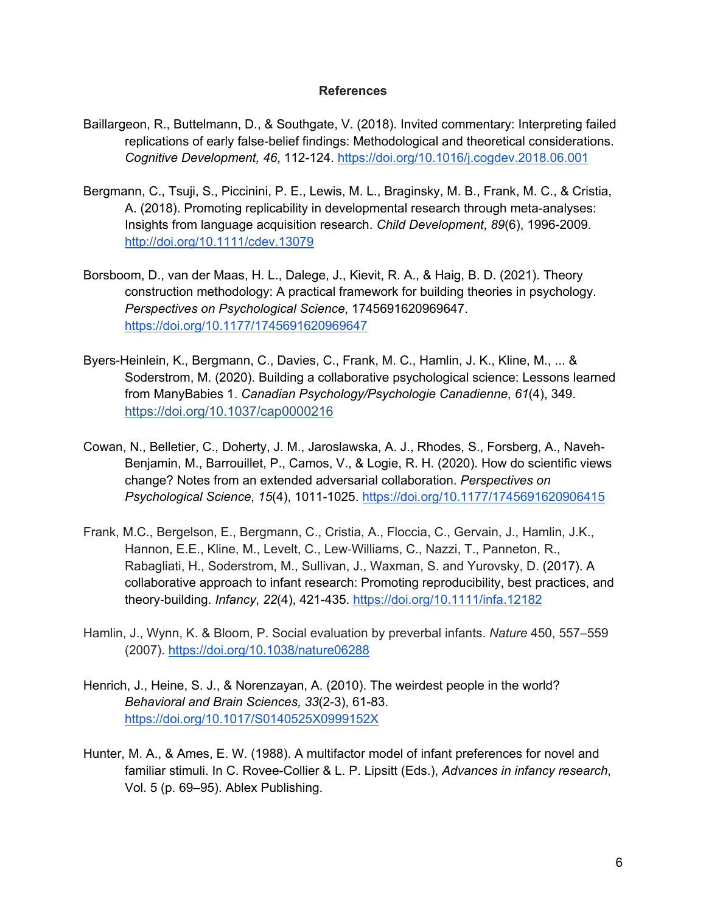## **References**

- Baillargeon, R., Buttelmann, D., & Southgate, V. (2018). Invited commentary: Interpreting failed replications of early false-belief findings: Methodological and theoretical considerations. *Cognitive Development, 46*, 112-124. https://doi.org/10.1016/j.cogdev.2018.06.001
- Bergmann, C., Tsuji, S., Piccinini, P. E., Lewis, M. L., Braginsky, M. B., Frank, M. C., & Cristia, A. (2018). Promoting replicability in developmental research through meta-analyses: Insights from language acquisition research. *Child Development*, *89*(6), 1996-2009. http://doi.org/10.1111/cdev.13079
- Borsboom, D., van der Maas, H. L., Dalege, J., Kievit, R. A., & Haig, B. D. (2021). Theory construction methodology: A practical framework for building theories in psychology. *Perspectives on Psychological Science*, 1745691620969647. https://doi.org/10.1177/1745691620969647
- Byers-Heinlein, K., Bergmann, C., Davies, C., Frank, M. C., Hamlin, J. K., Kline, M., ... & Soderstrom, M. (2020). Building a collaborative psychological science: Lessons learned from ManyBabies 1. *Canadian Psychology/Psychologie Canadienne*, *61*(4), 349. https://doi.org/10.1037/cap0000216
- Cowan, N., Belletier, C., Doherty, J. M., Jaroslawska, A. J., Rhodes, S., Forsberg, A., Naveh-Benjamin, M., Barrouillet, P., Camos, V., & Logie, R. H. (2020). How do scientific views change? Notes from an extended adversarial collaboration. *Perspectives on Psychological Science*, *15*(4), 1011-1025. https://doi.org/10.1177/1745691620906415
- Frank, M.C., Bergelson, E., Bergmann, C., Cristia, A., Floccia, C., Gervain, J., Hamlin, J.K., Hannon, E.E., Kline, M., Levelt, C., Lew-Williams, C., Nazzi, T., Panneton, R., Rabagliati, H., Soderstrom, M., Sullivan, J., Waxman, S. and Yurovsky, D. (2017). A collaborative approach to infant research: Promoting reproducibility, best practices, and theory-building. *Infancy*, *22*(4), 421-435. https://doi.org/10.1111/infa.12182
- Hamlin, J., Wynn, K. & Bloom, P. Social evaluation by preverbal infants. *Nature* 450, 557–559 (2007). https://doi.org/10.1038/nature06288
- Henrich, J., Heine, S. J., & Norenzayan, A. (2010). The weirdest people in the world? *Behavioral and Brain Sciences, 33*(2-3), 61-83. https://doi.org/10.1017/S0140525X0999152X
- Hunter, M. A., & Ames, E. W. (1988). A multifactor model of infant preferences for novel and familiar stimuli. In C. Rovee-Collier & L. P. Lipsitt (Eds.), *Advances in infancy research*, Vol. 5 (p. 69–95). Ablex Publishing.